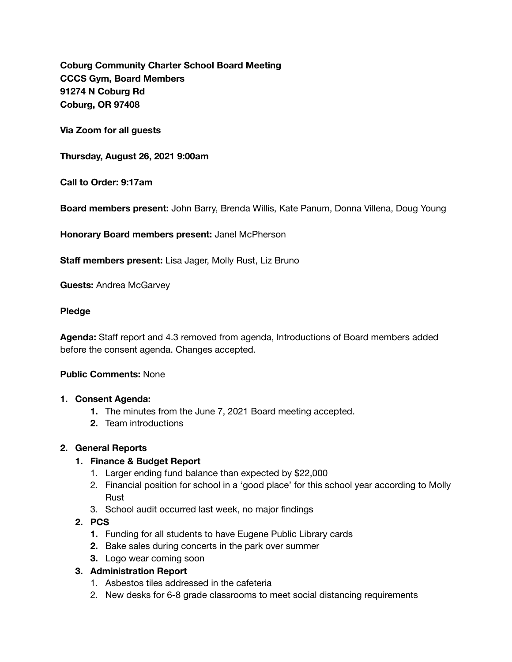**Coburg Community Charter School Board Meeting CCCS Gym, Board Members 91274 N Coburg Rd Coburg, OR 97408** 

**Via Zoom for all guests** 

**Thursday, August 26, 2021 9:00am** 

**Call to Order: 9:17am** 

**Board members present:** John Barry, Brenda Willis, Kate Panum, Donna Villena, Doug Young

**Honorary Board members present:** Janel McPherson

**Staff members present:** Lisa Jager, Molly Rust, Liz Bruno

**Guests:** Andrea McGarvey

#### **Pledge**

**Agenda:** Staff report and 4.3 removed from agenda, Introductions of Board members added before the consent agenda. Changes accepted.

### **Public Comments:** None

#### **1. Consent Agenda:**

- **1.** The minutes from the June 7, 2021 Board meeting accepted.
- **2.** Team introductions

#### **2. General Reports**

#### **1. Finance & Budget Report**

- 1. Larger ending fund balance than expected by \$22,000
- 2. Financial position for school in a 'good place' for this school year according to Molly Rust
- 3. School audit occurred last week, no major findings

## **2. PCS**

- **1.** Funding for all students to have Eugene Public Library cards
- **2.** Bake sales during concerts in the park over summer
- **3.** Logo wear coming soon

### **3. Administration Report**

- 1. Asbestos tiles addressed in the cafeteria
- 2. New desks for 6-8 grade classrooms to meet social distancing requirements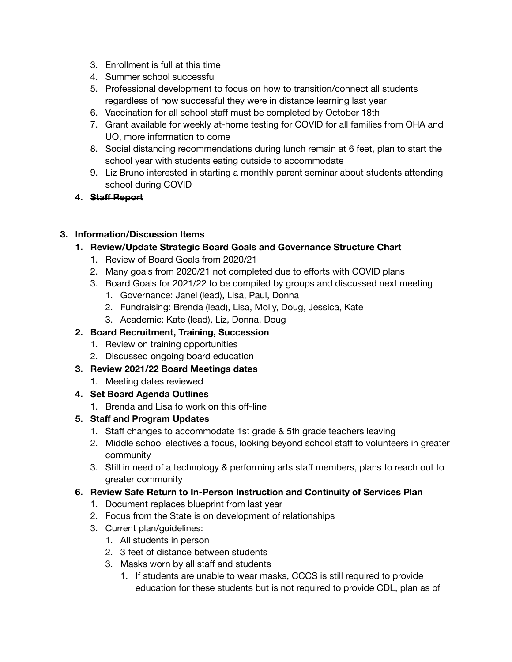- 3. Enrollment is full at this time
- 4. Summer school successful
- 5. Professional development to focus on how to transition/connect all students regardless of how successful they were in distance learning last year
- 6. Vaccination for all school staff must be completed by October 18th
- 7. Grant available for weekly at-home testing for COVID for all families from OHA and UO, more information to come
- 8. Social distancing recommendations during lunch remain at 6 feet, plan to start the school year with students eating outside to accommodate
- 9. Liz Bruno interested in starting a monthly parent seminar about students attending school during COVID
- **4. Staff Report**

## **3. Information/Discussion Items**

- **1. Review/Update Strategic Board Goals and Governance Structure Chart** 
	- 1. Review of Board Goals from 2020/21
	- 2. Many goals from 2020/21 not completed due to efforts with COVID plans
	- 3. Board Goals for 2021/22 to be compiled by groups and discussed next meeting
		- 1. Governance: Janel (lead), Lisa, Paul, Donna
		- 2. Fundraising: Brenda (lead), Lisa, Molly, Doug, Jessica, Kate
		- 3. Academic: Kate (lead), Liz, Donna, Doug

# **2. Board Recruitment, Training, Succession**

- 1. Review on training opportunities
- 2. Discussed ongoing board education

# **3. Review 2021/22 Board Meetings dates**

- 1. Meeting dates reviewed
- **4. Set Board Agenda Outlines** 
	- 1. Brenda and Lisa to work on this off-line

# **5. Staff and Program Updates**

- 1. Staff changes to accommodate 1st grade & 5th grade teachers leaving
- 2. Middle school electives a focus, looking beyond school staff to volunteers in greater community
- 3. Still in need of a technology & performing arts staff members, plans to reach out to greater community

# **6. Review Safe Return to In-Person Instruction and Continuity of Services Plan**

- 1. Document replaces blueprint from last year
- 2. Focus from the State is on development of relationships
- 3. Current plan/guidelines:
	- 1. All students in person
	- 2. 3 feet of distance between students
	- 3. Masks worn by all staff and students
		- 1. If students are unable to wear masks, CCCS is still required to provide education for these students but is not required to provide CDL, plan as of